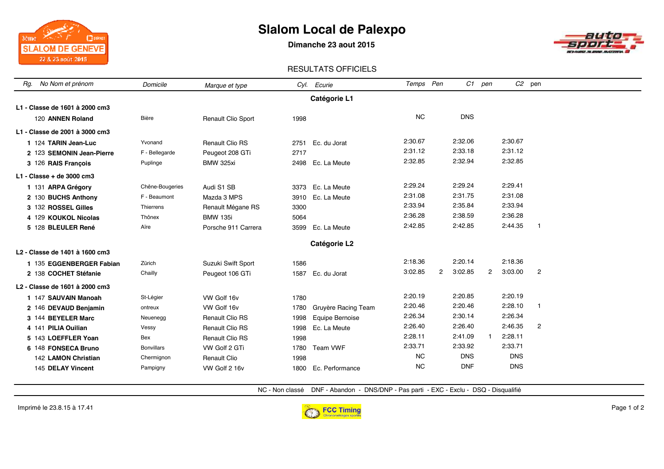## **Slalom Local de Palexpo**

**Dimanche 23 aout 2015**



### RESULTATS OFFICIELS

| No Nom et prénom<br>Rg.                    | Domicile          | Marque et type            |      | Cyl. Ecurie         | Temps Pen |                |            | C1 pen       |            | $C2$ pen       |  |
|--------------------------------------------|-------------------|---------------------------|------|---------------------|-----------|----------------|------------|--------------|------------|----------------|--|
|                                            |                   |                           |      | Catégorie L1        |           |                |            |              |            |                |  |
| L1 - Classe de 1601 à 2000 cm3             |                   |                           |      |                     |           |                |            |              |            |                |  |
| 120 ANNEN Roland                           | Bière             | <b>Renault Clio Sport</b> | 1998 |                     | <b>NC</b> |                | <b>DNS</b> |              |            |                |  |
| L1 - Classe de 2001 à 3000 cm3             |                   |                           |      |                     |           |                |            |              |            |                |  |
| 1 124 TARIN Jean-Luc                       | Yvonand           | <b>Renault Clio RS</b>    | 2751 | Ec. du Jorat        | 2:30.67   |                | 2:32.06    |              | 2:30.67    |                |  |
| 2 123 SEMONIN Jean-Pierre                  | F - Bellegarde    | Peugeot 208 GTi           | 2717 |                     | 2:31.12   |                | 2:33.18    |              | 2:31.12    |                |  |
| 3 126 RAIS François                        | Puplinge          | <b>BMW 325xi</b>          | 2498 | Ec. La Meute        | 2:32.85   |                | 2:32.94    |              | 2:32.85    |                |  |
| $L1 - Classe + de$ 3000 cm3                |                   |                           |      |                     |           |                |            |              |            |                |  |
| 1 131 ARPA Grégory                         | Chêne-Bougeries   | Audi S1 SB                | 3373 | Ec. La Meute        | 2:29.24   |                | 2:29.24    |              | 2:29.41    |                |  |
| 2 130 BUCHS Anthony                        | F - Beaumont      | Mazda 3 MPS               | 3910 | Ec. La Meute        | 2:31.08   |                | 2:31.75    |              | 2:31.08    |                |  |
| 3 132 ROSSEL Gilles                        | Thierrens         | Renault Mégane RS         | 3300 |                     | 2:33.94   |                | 2:35.84    |              | 2:33.94    |                |  |
| 4 129 KOUKOL Nicolas                       | Thônex            | <b>BMW 135i</b>           | 5064 |                     | 2:36.28   |                | 2:38.59    |              | 2:36.28    |                |  |
| 5 128 BLEULER René                         | Aïre              | Porsche 911 Carrera       | 3599 | Ec. La Meute        | 2:42.85   |                | 2:42.85    |              | 2:44.35    | $\mathbf{1}$   |  |
| Catégorie L2                               |                   |                           |      |                     |           |                |            |              |            |                |  |
| L <sub>2</sub> - Classe de 1401 à 1600 cm3 |                   |                           |      |                     |           |                |            |              |            |                |  |
| 1 135 EGGENBERGER Fabian                   | Zürich            | Suzuki Swift Sport        | 1586 |                     | 2:18.36   |                | 2:20.14    |              | 2:18.36    |                |  |
| 2 138 COCHET Stéfanie                      | Chailly           | Peugeot 106 GTi           | 1587 | Ec. du Jorat        | 3:02.85   | $\overline{2}$ | 3:02.85    | $\mathbf{2}$ | 3:03.00    | $\overline{c}$ |  |
| L <sub>2</sub> - Classe de 1601 à 2000 cm3 |                   |                           |      |                     |           |                |            |              |            |                |  |
| 1 147 SAUVAIN Manoah                       | St-Légier         | VW Golf 16v               | 1780 |                     | 2:20.19   |                | 2:20.85    |              | 2:20.19    |                |  |
| 2 146 DEVAUD Benjamin                      | ontreux           | VW Golf 16v               | 1780 | Gruyère Racing Team | 2:20.46   |                | 2:20.46    |              | 2:28.10    | -1             |  |
| 3 144 BEYELER Marc                         | Neuenegg          | <b>Renault Clio RS</b>    | 1998 | Equipe Bernoise     | 2:26.34   |                | 2:30.14    |              | 2:26.34    |                |  |
| 4 141 PILIA Ouilian                        | Vessy             | <b>Renault Clio RS</b>    | 1998 | Ec. La Meute        | 2:26.40   |                | 2:26.40    |              | 2:46.35    | 2              |  |
| 5 143 LOEFFLER Yoan                        | Bex               | <b>Renault Clio RS</b>    | 1998 |                     | 2:28.11   |                | 2:41.09    | $\mathbf{1}$ | 2:28.11    |                |  |
| 6 148 FONSECA Bruno                        | <b>Bonvillars</b> | VW Golf 2 GTi             | 1780 | Team VWF            | 2:33.71   |                | 2:33.92    |              | 2:33.71    |                |  |
| 142 LAMON Christian                        | Chermignon        | <b>Renault Clio</b>       | 1998 |                     | <b>NC</b> |                | <b>DNS</b> |              | <b>DNS</b> |                |  |
| 145 DELAY Vincent                          | Pampigny          | VW Golf 2 16v             | 1800 | Ec. Performance     | <b>NC</b> |                | <b>DNF</b> |              | <b>DNS</b> |                |  |

NC - Non classé DNF - Abandon - DNS/DNP - Pas parti - EXC - Exclu - DSQ - Disqualifié

 $\Box$ pikap

 $3\text{time}$   $\mathbb{Z} \rightarrow \mathbb{P}$ 

**SLALOM DE GENEVE** 22 & 23 août 2015

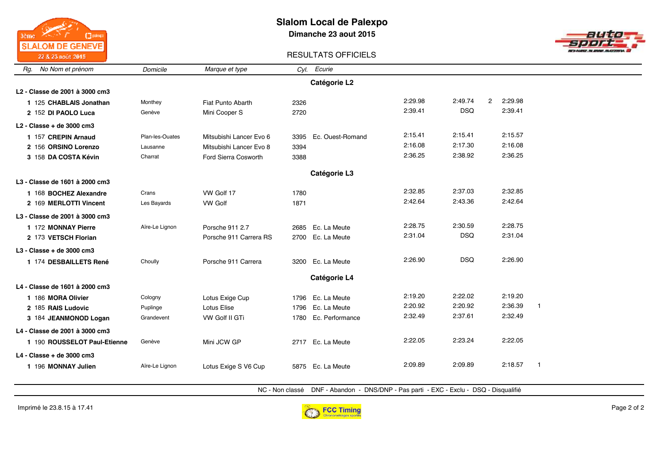

### **Slalom Local de Palexpo Dimanche 23 aout 2015**



### RESULTATS OFFICIELS

| No Nom et prénom<br>Rg.        | Domicile        | Marque et type          | Cyl. | Ecurie               |         |                         |         |                         |
|--------------------------------|-----------------|-------------------------|------|----------------------|---------|-------------------------|---------|-------------------------|
|                                |                 |                         |      | Catégorie L2         |         |                         |         |                         |
| L2 - Classe de 2001 à 3000 cm3 |                 |                         |      |                      |         |                         |         |                         |
| 1 125 CHABLAIS Jonathan        | Monthey         | Fiat Punto Abarth       | 2326 |                      | 2:29.98 | 2:49.74<br>$\mathbf{2}$ | 2:29.98 |                         |
| 2 152 DI PAOLO Luca            | Genève          | Mini Cooper S           | 2720 |                      | 2:39.41 | <b>DSQ</b>              | 2:39.41 |                         |
| $L2$ - Classe + de 3000 cm3    |                 |                         |      |                      |         |                         |         |                         |
| 1 157 CREPIN Arnaud            | Plan-les-Ouates | Mitsubishi Lancer Evo 6 | 3395 | Ec. Ouest-Romand     | 2:15.41 | 2:15.41                 | 2:15.57 |                         |
| 2 156 ORSINO Lorenzo           | Lausanne        | Mitsubishi Lancer Evo 8 | 3394 |                      | 2:16.08 | 2:17.30                 | 2:16.08 |                         |
| 3 158 DA COSTA Kévin           | Charrat         | Ford Sierra Cosworth    | 3388 |                      | 2:36.25 | 2:38.92                 | 2:36.25 |                         |
|                                |                 |                         |      | Catégorie L3         |         |                         |         |                         |
| L3 - Classe de 1601 à 2000 cm3 |                 |                         |      |                      |         |                         |         |                         |
| 1 168 BOCHEZ Alexandre         | Crans           | VW Golf 17              | 1780 |                      | 2:32.85 | 2:37.03                 | 2:32.85 |                         |
| 2 169 MERLOTTI Vincent         | Les Bayards     | <b>VW Golf</b>          | 1871 |                      | 2:42.64 | 2:43.36                 | 2:42.64 |                         |
| L3 - Classe de 2001 à 3000 cm3 |                 |                         |      |                      |         |                         |         |                         |
| 1 172 MONNAY Pierre            | Aïre-Le Lignon  | Porsche 911 2.7         |      | 2685 Ec. La Meute    | 2:28.75 | 2:30.59                 | 2:28.75 |                         |
| 2 173 VETSCH Florian           |                 | Porsche 911 Carrera RS  |      | 2700 Ec. La Meute    | 2:31.04 | <b>DSQ</b>              | 2:31.04 |                         |
| $L3 - Classe + de 3000 cm3$    |                 |                         |      |                      |         |                         |         |                         |
| 1 174 DESBAILLETS René         | Choully         | Porsche 911 Carrera     |      | 3200 Ec. La Meute    | 2:26.90 | <b>DSQ</b>              | 2:26.90 |                         |
|                                |                 |                         |      | Catégorie L4         |         |                         |         |                         |
| L4 - Classe de 1601 à 2000 cm3 |                 |                         |      |                      |         |                         |         |                         |
| 1 186 MORA Olivier             | Cologny         | Lotus Exige Cup         |      | 1796 Ec. La Meute    | 2:19.20 | 2:22.02                 | 2:19.20 |                         |
| 2 185 RAIS Ludovic             | Puplinge        | <b>Lotus Elise</b>      | 1796 | Ec. La Meute         | 2:20.92 | 2:20.92                 | 2:36.39 | $\overline{\mathbf{1}}$ |
| 3 184 JEANMONOD Logan          | Grandevent      | VW Golf II GTi          |      | 1780 Ec. Performance | 2:32.49 | 2:37.61                 | 2:32.49 |                         |
| L4 - Classe de 2001 à 3000 cm3 |                 |                         |      |                      |         |                         |         |                         |
| 1 190 ROUSSELOT Paul-Etienne   | Genève          | Mini JCW GP             |      | 2717 Ec. La Meute    | 2:22.05 | 2:23.24                 | 2:22.05 |                         |
| L4 - Classe + de 3000 cm3      |                 |                         |      |                      |         |                         |         |                         |
| 1 196 MONNAY Julien            | Aïre-Le Lignon  | Lotus Exige S V6 Cup    |      | 5875 Ec. La Meute    | 2:09.89 | 2:09.89                 | 2:18.57 | $\mathbf{1}$            |
|                                |                 |                         |      |                      |         |                         |         |                         |

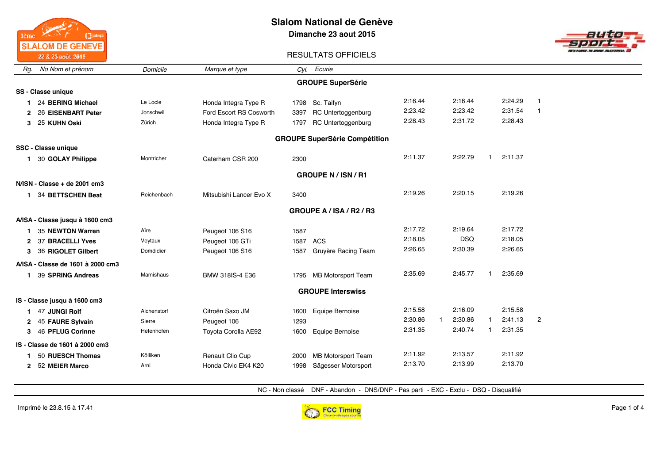

**Dimanche 23 aout 2015**



#### RESULTATS OFFICIELS

| Rg.                      | No Nom et prénom                     | Domicile    | Marque et type          | Cyl. | Ecurie                    |         |         |            |  |         |                |  |
|--------------------------|--------------------------------------|-------------|-------------------------|------|---------------------------|---------|---------|------------|--|---------|----------------|--|
|                          |                                      |             |                         |      | <b>GROUPE SuperSérie</b>  |         |         |            |  |         |                |  |
|                          | SS - Classe unique                   |             |                         |      |                           |         |         |            |  |         |                |  |
|                          | 24 BERING Michael                    | Le Locle    | Honda Integra Type R    | 1798 | Sc. Taifyn                | 2:16.44 | 2:16.44 |            |  | 2:24.29 | $\overline{1}$ |  |
| 2                        | 26 EISENBART Peter                   | Jonschwil   | Ford Escort RS Cosworth | 3397 | RC Untertoggenburg        | 2:23.42 | 2:23.42 |            |  | 2:31.54 | $\overline{1}$ |  |
|                          | 3 25 KUHN Oski                       | Zürich      | Honda Integra Type R    | 1797 | RC Untertoggenburg        | 2:28.43 | 2:31.72 |            |  | 2:28.43 |                |  |
|                          | <b>GROUPE SuperSérie Compétition</b> |             |                         |      |                           |         |         |            |  |         |                |  |
|                          | <b>SSC - Classe unique</b>           |             |                         |      |                           |         |         |            |  |         |                |  |
|                          | 1 30 GOLAY Philippe                  | Montricher  | Caterham CSR 200        | 2300 |                           | 2:11.37 | 2:22.79 |            |  | 2:11.37 |                |  |
| <b>GROUPE N/ISN/R1</b>   |                                      |             |                         |      |                           |         |         |            |  |         |                |  |
|                          | $N/ISN - Classe + de 2001 cm3$       |             |                         |      |                           |         |         |            |  |         |                |  |
|                          | 1 34 BETTSCHEN Beat                  | Reichenbach | Mitsubishi Lancer Evo X | 3400 |                           | 2:19.26 | 2:20.15 |            |  | 2:19.26 |                |  |
| GROUPE A / ISA / R2 / R3 |                                      |             |                         |      |                           |         |         |            |  |         |                |  |
|                          | A/ISA - Classe jusqu à 1600 cm3      |             |                         |      |                           |         |         |            |  |         |                |  |
|                          | 35 NEWTON Warren                     | Aïre        | Peugeot 106 S16         | 1587 |                           | 2:17.72 | 2:19.64 |            |  | 2:17.72 |                |  |
|                          | 2 37 BRACELLI Yves                   | Veytaux     | Peugeot 106 GTi         | 1587 | ACS                       | 2:18.05 |         | <b>DSQ</b> |  | 2:18.05 |                |  |
|                          | 3 36 RIGOLET Gilbert                 | Domdidier   | Peugeot 106 S16         | 1587 | Gruyère Racing Team       | 2:26.65 | 2:30.39 |            |  | 2:26.65 |                |  |
|                          | A/ISA - Classe de 1601 à 2000 cm3    |             |                         |      |                           |         |         |            |  |         |                |  |
| 1.                       | 39 SPRING Andreas                    | Mamishaus   | BMW 318IS-4 E36         |      | 1795 MB Motorsport Team   | 2:35.69 | 2:45.77 |            |  | 2:35.69 |                |  |
|                          |                                      |             |                         |      | <b>GROUPE Interswiss</b>  |         |         |            |  |         |                |  |
|                          | IS - Classe jusqu à 1600 cm3         |             |                         |      |                           |         |         |            |  |         |                |  |
|                          | 47 JUNGI Rolf                        | Alchenstorf | Citroën Saxo JM         | 1600 | Equipe Bernoise           | 2:15.58 | 2:16.09 |            |  | 2:15.58 |                |  |
|                          | 2 45 FAURE Sylvain                   | Sierre      | Peugeot 106             | 1293 |                           | 2:30.86 | 2:30.86 |            |  | 2:41.13 | $\overline{2}$ |  |
| 3                        | 46 PFLUG Corinne                     | Hefenhofen  | Toyota Corolla AE92     | 1600 | Equipe Bernoise           | 2:31.35 | 2:40.74 |            |  | 2:31.35 |                |  |
|                          | IS - Classe de 1601 à 2000 cm3       |             |                         |      |                           |         |         |            |  |         |                |  |
|                          | 50 RUESCH Thomas                     | Kölliken    | Renault Clio Cup        | 2000 | <b>MB Motorsport Team</b> | 2:11.92 | 2:13.57 |            |  | 2:11.92 |                |  |
|                          | 2 52 MEIER Marco                     | Arni        | Honda Civic EK4 K20     | 1998 | Sägesser Motorsport       | 2:13.70 | 2:13.99 |            |  | 2:13.70 |                |  |
|                          |                                      |             |                         |      |                           |         |         |            |  |         |                |  |

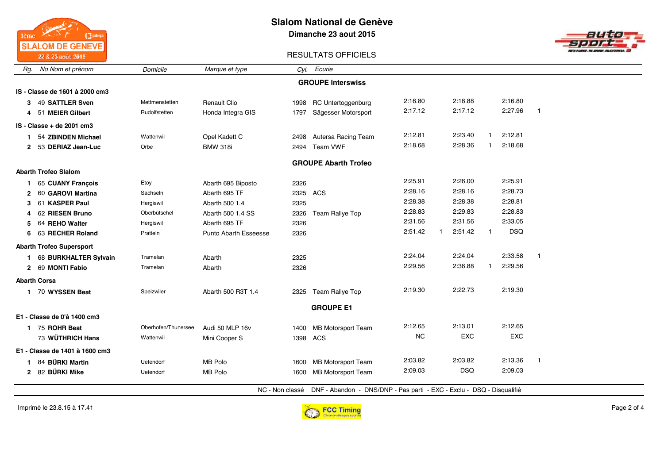

**Dimanche 23 aout 2015**



### RESULTATS OFFICIELS

| No Nom et prénom<br>Rg.            | Domicile            | Marque et type        |      | Cyl. Ecurie                                                                            |           |            |              |            |              |
|------------------------------------|---------------------|-----------------------|------|----------------------------------------------------------------------------------------|-----------|------------|--------------|------------|--------------|
|                                    |                     |                       |      | <b>GROUPE Interswiss</b>                                                               |           |            |              |            |              |
| IS - Classe de 1601 à 2000 cm3     |                     |                       |      |                                                                                        |           |            |              |            |              |
| 49 SATTLER Sven<br>3               | Mettmenstetten      | <b>Renault Clio</b>   | 1998 | <b>RC Untertoggenburg</b>                                                              | 2:16.80   | 2:18.88    |              | 2:16.80    |              |
| 51 MEIER Gilbert<br>4              | Rudolfstetten       | Honda Integra GIS     | 1797 | Sägesser Motorsport                                                                    | 2:17.12   | 2:17.12    |              | 2:27.96    | $\mathbf{1}$ |
| IS - Classe + de 2001 cm3          |                     |                       |      |                                                                                        |           |            |              |            |              |
| 54 ZBINDEN Michael                 | Wattenwil           | Opel Kadett C         | 2498 | Autersa Racing Team                                                                    | 2:12.81   | 2:23.40    |              | 2:12.81    |              |
| 53 DERIAZ Jean-Luc<br>$\mathbf{2}$ | Orbe                | <b>BMW 318i</b>       | 2494 | Team VWF                                                                               | 2:18.68   | 2:28.36    |              | 2:18.68    |              |
|                                    |                     |                       |      | <b>GROUPE Abarth Trofeo</b>                                                            |           |            |              |            |              |
| <b>Abarth Trofeo Slalom</b>        |                     |                       |      |                                                                                        |           |            |              |            |              |
| 65 CUANY Francois                  | Etoy                | Abarth 695 Biposto    | 2326 |                                                                                        | 2:25.91   | 2:26.00    |              | 2:25.91    |              |
| 60 GAROVI Martina                  | Sachseln            | Abarth 695 TF         | 2325 | ACS                                                                                    | 2:28.16   | 2:28.16    |              | 2:28.73    |              |
| 61 KASPER Paul                     | Hergiswil           | Abarth 500 1.4        | 2325 |                                                                                        | 2:28.38   | 2:28.38    |              | 2:28.81    |              |
| 62 RIESEN Bruno                    | Oberbütschel        | Abarth 500 1.4 SS     | 2326 | Team Rallye Top                                                                        | 2:28.83   | 2:29.83    |              | 2:28.83    |              |
| 64 REHO Walter                     | Hergiswil           | Abarth 695 TF         | 2326 |                                                                                        | 2:31.56   | 2:31.56    |              | 2:33.05    |              |
| 63 RECHER Roland<br>6.             | Pratteln            | Punto Abarth Esseesse | 2326 |                                                                                        | 2:51.42   | 2:51.42    | $\mathbf{1}$ | <b>DSQ</b> |              |
| <b>Abarth Trofeo Supersport</b>    |                     |                       |      |                                                                                        |           |            |              |            |              |
| 68 BURKHALTER Sylvain              | Tramelan            | Abarth                | 2325 |                                                                                        | 2:24.04   | 2:24.04    |              | 2:33.58    | $\mathbf{1}$ |
| 69 MONTI Fabio<br>$\mathbf{2}$     | Tramelan            | Abarth                | 2326 |                                                                                        | 2:29.56   | 2:36.88    |              | 2:29.56    |              |
| <b>Abarth Corsa</b>                |                     |                       |      |                                                                                        |           |            |              |            |              |
| 1 70 WYSSEN Beat                   | Speizwiler          | Abarth 500 R3T 1.4    | 2325 | Team Rallye Top                                                                        | 2:19.30   | 2:22.73    |              | 2:19.30    |              |
|                                    |                     |                       |      | <b>GROUPE E1</b>                                                                       |           |            |              |            |              |
| E1 - Classe de 0'à 1400 cm3        |                     |                       |      |                                                                                        |           |            |              |            |              |
| 75 ROHR Beat                       | Oberhofen/Thunersee | Audi 50 MLP 16v       | 1400 | <b>MB Motorsport Team</b>                                                              | 2:12.65   | 2:13.01    |              | 2:12.65    |              |
| 73 WÜTHRICH Hans                   | Wattenwil           | Mini Cooper S         |      | 1398 ACS                                                                               | <b>NC</b> | <b>EXC</b> |              | EXC        |              |
| E1 - Classe de 1401 à 1600 cm3     |                     |                       |      |                                                                                        |           |            |              |            |              |
| 84 BÜRKI Martin                    | Uetendorf           | MB Polo               | 1600 | MB Motorsport Team                                                                     | 2:03.82   | 2:03.82    |              | 2:13.36    | $\mathbf{1}$ |
| 2 82 BÜRKI Mike                    | Uetendorf           | MB Polo               | 1600 | <b>MB Motorsport Team</b>                                                              | 2:09.03   | <b>DSQ</b> |              | 2:09.03    |              |
|                                    |                     |                       |      | NC - Non classé  DNF - Abandon - DNS/DNP - Pas parti - EXC - Exclu - DSQ - Disqualifié |           |            |              |            |              |

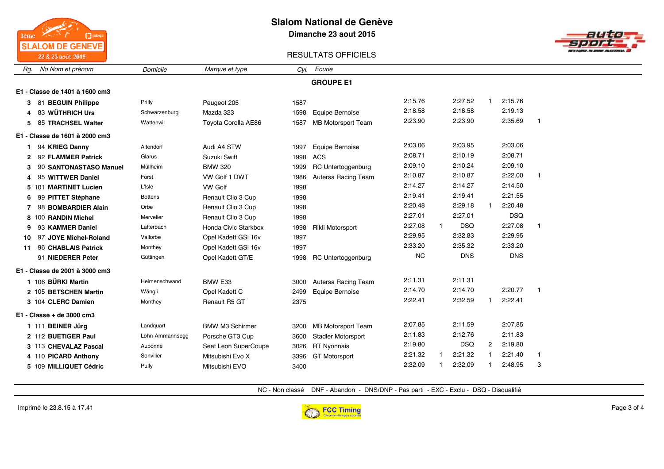

**Dimanche 23 aout 2015**



### RESULTATS OFFICIELS

| No Nom et prénom<br>Rg.        | Domicile        | Marque et type         | CvI. | Ecurie                    |           |   |            |              |            |                |  |  |
|--------------------------------|-----------------|------------------------|------|---------------------------|-----------|---|------------|--------------|------------|----------------|--|--|
|                                |                 |                        |      | <b>GROUPE E1</b>          |           |   |            |              |            |                |  |  |
| E1 - Classe de 1401 à 1600 cm3 |                 |                        |      |                           |           |   |            |              |            |                |  |  |
| 81 BEGUIN Philippe<br>3        | Prilly          | Peugeot 205            | 1587 |                           | 2:15.76   |   | 2:27.52    |              | 2:15.76    |                |  |  |
| 83 WÜTHRICH Urs<br>4           | Schwarzenburg   | Mazda 323              | 1598 | Equipe Bernoise           | 2:18.58   |   | 2:18.58    |              | 2:19.13    |                |  |  |
| 85 TRACHSEL Walter<br>5.       | Wattenwil       | Toyota Corolla AE86    | 1587 | <b>MB Motorsport Team</b> | 2:23.90   |   | 2:23.90    |              | 2:35.69    | $\overline{1}$ |  |  |
| E1 - Classe de 1601 à 2000 cm3 |                 |                        |      |                           |           |   |            |              |            |                |  |  |
| 94 KRIEG Danny                 | Altendorf       | Audi A4 STW            | 1997 | Equipe Bernoise           | 2:03.06   |   | 2:03.95    |              | 2:03.06    |                |  |  |
| 92 FLAMMER Patrick<br>2        | Glarus          | Suzuki Swift           | 1998 | ACS                       | 2:08.71   |   | 2:10.19    |              | 2:08.71    |                |  |  |
| 90 SANTONASTASO Manuel<br>3    | Müllheim        | <b>BMW 320</b>         | 1999 | RC Untertoggenburg        | 2:09.10   |   | 2:10.24    |              | 2:09.10    |                |  |  |
| 95 WITTWER Daniel              | Forst           | VW Golf 1 DWT          | 1986 | Autersa Racing Team       | 2:10.87   |   | 2:10.87    |              | 2:22.00    | -1             |  |  |
| 5 101 MARTINET Lucien          | L'Isle          | <b>VW Golf</b>         | 1998 |                           | 2:14.27   |   | 2:14.27    |              | 2:14.50    |                |  |  |
| 99 PITTET Stéphane<br>6        | <b>Bottens</b>  | Renault Clio 3 Cup     | 1998 |                           | 2:19.41   |   | 2:19.41    |              | 2:21.55    |                |  |  |
| 98 BOMBARDIER Alain<br>7       | Orbe            | Renault Clio 3 Cup     | 1998 |                           | 2:20.48   |   | 2:29.18    |              | 2:20.48    |                |  |  |
| 8 100 RANDIN Michel            | Mervelier       | Renault Clio 3 Cup     | 1998 |                           | 2:27.01   |   | 2:27.01    |              | <b>DSQ</b> |                |  |  |
| 93 KAMMER Daniel<br>9          | Latterbach      | Honda Civic Starkbox   | 1998 | Rikli Motorsport          | 2:27.08   | 1 | <b>DSQ</b> |              | 2:27.08    | -1             |  |  |
| 97 JOYE Michel-Roland<br>10    | Vallorbe        | Opel Kadett GSi 16v    | 1997 |                           | 2:29.95   |   | 2:32.83    |              | 2:29.95    |                |  |  |
| 96 CHABLAIS Patrick<br>11      | Monthey         | Opel Kadett GSi 16v    | 1997 |                           | 2:33.20   |   | 2:35.32    |              | 2:33.20    |                |  |  |
| 91 NIEDERER Peter              | Güttingen       | Opel Kadett GT/E       | 1998 | <b>RC Untertoggenburg</b> | <b>NC</b> |   | <b>DNS</b> |              | <b>DNS</b> |                |  |  |
| E1 - Classe de 2001 à 3000 cm3 |                 |                        |      |                           |           |   |            |              |            |                |  |  |
| 1 106 BÜRKI Martin             | Heimenschwand   | BMW E33                | 3000 | Autersa Racing Team       | 2:11.31   |   | 2:11.31    |              |            |                |  |  |
| 2 105 BETSCHEN Martin          | Wängli          | Opel Kadett C          | 2499 | Equipe Bernoise           | 2:14.70   |   | 2:14.70    |              | 2:20.77    | - 1            |  |  |
| 3 104 CLERC Damien             | Monthey         | Renault R5 GT          | 2375 |                           | 2:22.41   |   | 2:32.59    | 1.           | 2:22.41    |                |  |  |
| $E1 - Classe + de 3000 cm3$    |                 |                        |      |                           |           |   |            |              |            |                |  |  |
| 1 111 BEINER Jürg              | Landquart       | <b>BMW M3 Schirmer</b> | 3200 | <b>MB Motorsport Team</b> | 2:07.85   |   | 2:11.59    |              | 2:07.85    |                |  |  |
| 2 112 BUETIGER Paul            | Lohn-Ammannsegg | Porsche GT3 Cup        | 3600 | <b>Stadler Motorsport</b> | 2:11.83   |   | 2:12.76    |              | 2:11.83    |                |  |  |
| 3 113 CHEVALAZ Pascal          | Aubonne         | Seat Leon SuperCoupe   | 3026 | <b>RT Nyonnais</b>        | 2:19.80   |   | <b>DSQ</b> | $\mathbf{2}$ | 2:19.80    |                |  |  |
| 4 110 PICARD Anthony           | Sonvilier       | Mitsubishi Evo X       | 3396 | <b>GT Motorsport</b>      | 2:21.32   |   | 2:21.32    |              | 2:21.40    |                |  |  |
| 5 109 MILLIQUET Cédric         | Pully           | Mitsubishi EVO         | 3400 |                           | 2:32.09   |   | 2:32.09    |              | 2:48.95    | 3              |  |  |

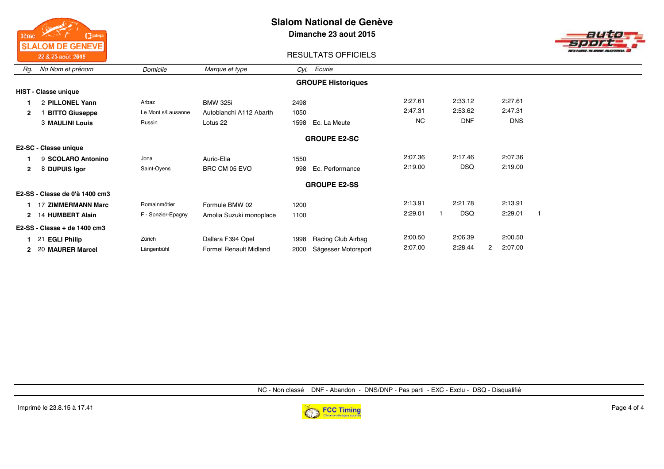

**Dimanche 23 aout 2015**



### RESULTATS OFFICIELS

| Rg.          | No Nom et prénom               | Domicile           | Marque et type                | Cyl. Ecurie                 |           |            |              |   |  |  |  |  |  |
|--------------|--------------------------------|--------------------|-------------------------------|-----------------------------|-----------|------------|--------------|---|--|--|--|--|--|
|              |                                |                    |                               | <b>GROUPE Historiques</b>   |           |            |              |   |  |  |  |  |  |
|              | <b>HIST - Classe unique</b>    |                    |                               |                             |           |            |              |   |  |  |  |  |  |
|              | 2 PILLONEL Yann                | Arbaz              | <b>BMW 325i</b>               | 2498                        | 2:27.61   | 2:33.12    | 2:27.61      |   |  |  |  |  |  |
| $\mathbf{2}$ | <b>BITTO Giuseppe</b>          | Le Mont s/Lausanne | Autobianchi A112 Abarth       | 1050                        | 2:47.31   | 2:53.62    | 2:47.31      |   |  |  |  |  |  |
|              | <b>3 MAULINI Louis</b>         | Russin             | Lotus 22                      | Ec. La Meute<br>1598        | <b>NC</b> | <b>DNF</b> | <b>DNS</b>   |   |  |  |  |  |  |
|              | <b>GROUPE E2-SC</b>            |                    |                               |                             |           |            |              |   |  |  |  |  |  |
|              | E2-SC - Classe unique          |                    |                               |                             |           |            |              |   |  |  |  |  |  |
|              | 9 SCOLARO Antonino             | Jona               | Aurio-Elia                    | 1550                        | 2:07.36   | 2:17.46    | 2:07.36      |   |  |  |  |  |  |
| $\mathbf{2}$ | 8 DUPUIS Igor                  | Saint-Oyens        | BRC CM 05 EVO                 | Ec. Performance<br>998      | 2:19.00   | <b>DSQ</b> | 2:19.00      |   |  |  |  |  |  |
|              |                                |                    |                               | <b>GROUPE E2-SS</b>         |           |            |              |   |  |  |  |  |  |
|              | E2-SS - Classe de 0'à 1400 cm3 |                    |                               |                             |           |            |              |   |  |  |  |  |  |
|              | 17 ZIMMERMANN Marc             | Romainmôtier       | Formule BMW 02                | 1200                        | 2:13.91   | 2:21.78    | 2:13.91      |   |  |  |  |  |  |
|              | 2 14 HUMBERT Alain             | F - Sonzier-Epagny | Amolia Suzuki monoplace       | 1100                        | 2:29.01   | <b>DSQ</b> | 2:29.01      | 1 |  |  |  |  |  |
|              | $E2-SS - Classe + de$ 1400 cm3 |                    |                               |                             |           |            |              |   |  |  |  |  |  |
|              | <b>EGLI Philip</b><br>21       | Zürich             | Dallara F394 Opel             | Racing Club Airbag<br>1998  | 2:00.50   | 2:06.39    | 2:00.50      |   |  |  |  |  |  |
|              | 2 20 MAURER Marcel             | Längenbühl         | <b>Formel Renault Midland</b> | Sägesser Motorsport<br>2000 | 2:07.00   | 2:28.44    | 2:07.00<br>2 |   |  |  |  |  |  |

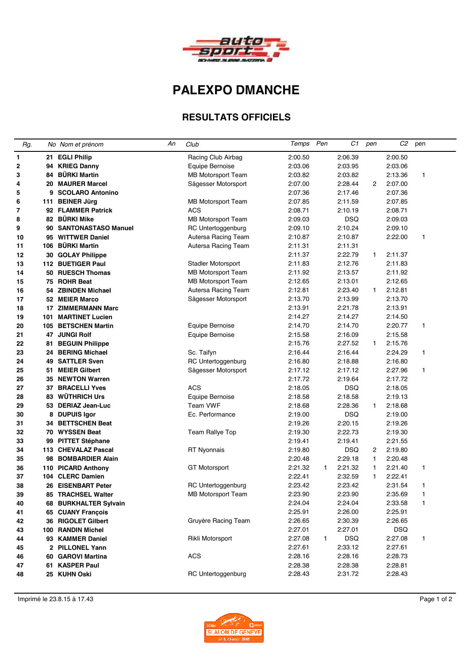

# **PALEXPO DMANCHE**

### **RESULTATS OFFICIELS**

| Rg.      |     | No Nom et prénom                          | Аn | Club                      | Temps Pen          |    | C1                 | pen          | C2                 | pen    |
|----------|-----|-------------------------------------------|----|---------------------------|--------------------|----|--------------------|--------------|--------------------|--------|
| 1        |     | 21 EGLI Philip                            |    | Racing Club Airbag        | 2:00.50            |    | 2:06.39            |              | 2:00.50            |        |
| 2        |     | 94 KRIEG Danny                            |    | Equipe Bernoise           | 2:03.06            |    | 2:03.95            |              | 2:03.06            |        |
| 3        | 84  | <b>BÜRKI Martin</b>                       |    | <b>MB Motorsport Team</b> | 2:03.82            |    | 2:03.82            |              | 2:13.36            | 1      |
| 4        |     | 20 MAURER Marcel                          |    | Sägesser Motorsport       | 2:07.00            |    | 2:28.44            | 2            | 2:07.00            |        |
| 5        |     | 9 SCOLARO Antonino                        |    |                           | 2:07.36            |    | 2:17.46            |              | 2:07.36            |        |
| 6        |     | 111 BEINER Jürg                           |    | <b>MB Motorsport Team</b> | 2:07.85            |    | 2:11.59            |              | 2:07.85            |        |
| 7        |     | 92 FLAMMER Patrick                        |    | <b>ACS</b>                | 2:08.71            |    | 2:10.19            |              | 2:08.71            |        |
| 8        |     | 82 BÜRKI Mike                             |    | <b>MB Motorsport Team</b> | 2:09.03            |    | <b>DSQ</b>         |              | 2:09.03            |        |
| 9        |     | 90 SANTONASTASO Manuel                    |    | RC Untertoggenburg        | 2:09.10            |    | 2:10.24            |              | 2:09.10            |        |
| 10       |     | 95 WITTWER Daniel                         |    | Autersa Racing Team       | 2:10.87            |    | 2:10.87            |              | 2:22.00            | 1      |
| 11       | 106 | <b>BÜRKI Martin</b>                       |    | Autersa Racing Team       | 2:11.31            |    | 2:11.31            |              |                    |        |
| 12       |     | 30 GOLAY Philippe                         |    |                           | 2:11.37            |    | 2:22.79            | $\mathbf{1}$ | 2:11.37            |        |
| 13       |     | 112 BUETIGER Paul                         |    | Stadler Motorsport        | 2:11.83            |    | 2:12.76            |              | 2:11.83            |        |
| 14       |     | 50 RUESCH Thomas                          |    | <b>MB Motorsport Team</b> | 2:11.92            |    | 2:13.57            |              | 2:11.92            |        |
| 15       |     | 75 ROHR Beat                              |    | <b>MB Motorsport Team</b> | 2:12.65            |    | 2:13.01            |              | 2:12.65            |        |
| 16       |     | 54 ZBINDEN Michael                        |    | Autersa Racing Team       | 2:12.81            |    | 2:23.40            | $\mathbf{1}$ | 2:12.81            |        |
| 17       |     | 52 MEIER Marco                            |    | Sägesser Motorsport       | 2:13.70            |    | 2:13.99            |              | 2:13.70            |        |
| 18       | 17  | <b>ZIMMERMANN Marc</b>                    |    |                           | 2:13.91            |    | 2:21.78            |              | 2:13.91            |        |
| 19       | 101 | <b>MARTINET Lucien</b>                    |    |                           | 2:14.27            |    | 2:14.27            |              | 2:14.50            |        |
| 20       |     | 105 BETSCHEN Martin                       |    | Equipe Bernoise           | 2:14.70            |    | 2:14.70            |              | 2:20.77            | 1      |
| 21       |     | 47 JUNGI Rolf                             |    | Equipe Bernoise           | 2:15.58            |    | 2:16.09            |              | 2:15.58            |        |
| 22       | 81  | <b>BEGUIN Philippe</b>                    |    |                           | 2:15.76            |    | 2:27.52            | $\mathbf{1}$ | 2:15.76            |        |
| 23       |     | 24 BERING Michael                         |    | Sc. Taifyn                | 2:16.44            |    | 2:16.44            |              | 2:24.29            | 1      |
| 24       |     | <b>49 SATTLER Sven</b>                    |    | RC Untertoggenburg        | 2:16.80            |    | 2:18.88            |              | 2:16.80            |        |
| 25       | 51. | <b>MEIER Gilbert</b>                      |    | Sägesser Motorsport       | 2:17.12            |    | 2:17.12            |              | 2:27.96            | 1      |
| 26       |     | 35 NEWTON Warren                          |    |                           | 2:17.72            |    | 2:19.64            |              | 2:17.72            |        |
| 27       | 37  | <b>BRACELLI Yves</b>                      |    | ACS                       | 2:18.05            |    | <b>DSQ</b>         |              | 2:18.05            |        |
| 28       |     | 83 WÜTHRICH Urs                           |    | Equipe Bernoise           | 2:18.58            |    | 2:18.58            |              | 2:19.13            |        |
| 29       |     | 53 DERIAZ Jean-Luc                        |    | <b>Team VWF</b>           | 2:18.68            |    | 2:28.36            | 1.           | 2:18.68            |        |
| 30       | 8   | <b>DUPUIS Igor</b>                        |    | Ec. Performance           | 2:19.00            |    | <b>DSQ</b>         |              | 2:19.00            |        |
| 31       |     | <b>34 BETTSCHEN Beat</b>                  |    |                           | 2:19.26            |    | 2:20.15            |              | 2:19.26            |        |
| 32       |     | 70 WYSSEN Beat                            |    | Team Rallye Top           | 2:19.30            |    | 2:22.73            |              | 2:19.30            |        |
| 33       |     | 99 PITTET Stéphane                        |    |                           | 2:19.41            |    | 2:19.41            |              | 2:21.55            |        |
| 34       |     | 113 CHEVALAZ Pascal                       |    | <b>RT Nyonnais</b>        | 2:19.80            |    | <b>DSQ</b>         | 2            | 2:19.80            |        |
| 35       | 98  | <b>BOMBARDIER Alain</b>                   |    |                           | 2:20.48            |    | 2:29.18            | 1            | 2:20.48            |        |
| 36<br>37 | 104 | 110 PICARD Anthony<br><b>CLERC Damien</b> |    | <b>GT Motorsport</b>      | 2:21.32<br>2:22.41 | 1. | 2:21.32<br>2:32.59 | 1<br>1       | 2:21.40<br>2:22.41 | 1      |
|          | 26  | <b>EISENBART Peter</b>                    |    | RC Untertoggenburg        | 2:23.42            |    | 2:23.42            |              | 2:31.54            | 1      |
| 38       |     | <b>TRACHSEL Walter</b>                    |    |                           | 2:23.90            |    | 2:23.90            |              |                    |        |
| 39<br>40 | 85  | 68 BURKHALTER Sylvain                     |    | <b>MB Motorsport Team</b> | 2:24.04            |    | 2:24.04            |              | 2:35.69<br>2:33.58 | 1<br>1 |
| 41       |     | 65 CUANY Francois                         |    |                           | 2:25.91            |    | 2:26.00            |              | 2:25.91            |        |
|          |     | 36 RIGOLET Gilbert                        |    | Gruyère Racing Team       | 2:26.65            |    | 2:30.39            |              | 2:26.65            |        |
| 42<br>43 |     | 100 RANDIN Michel                         |    |                           | 2:27.01            |    | 2:27.01            |              | <b>DSQ</b>         |        |
| 44       |     | 93 KAMMER Daniel                          |    | Rikli Motorsport          | 2:27.08            | 1. | <b>DSQ</b>         |              | 2:27.08            | 1      |
| 45       |     | 2 PILLONEL Yann                           |    |                           | 2:27.61            |    | 2:33.12            |              | 2:27.61            |        |
| 46       |     | 60 GAROVI Martina                         |    | <b>ACS</b>                | 2:28.16            |    | 2:28.16            |              | 2:28.73            |        |
| 47       |     | 61 KASPER Paul                            |    |                           | 2:28.38            |    | 2:28.38            |              | 2:28.81            |        |
| 48       |     | 25 KUHN Oski                              |    | RC Untertoggenburg        | 2:28.43            |    | 2:31.72            |              | 2:28.43            |        |
|          |     |                                           |    |                           |                    |    |                    |              |                    |        |

Imprimé le 23.8.15 à 17.43 Page 1 of 2